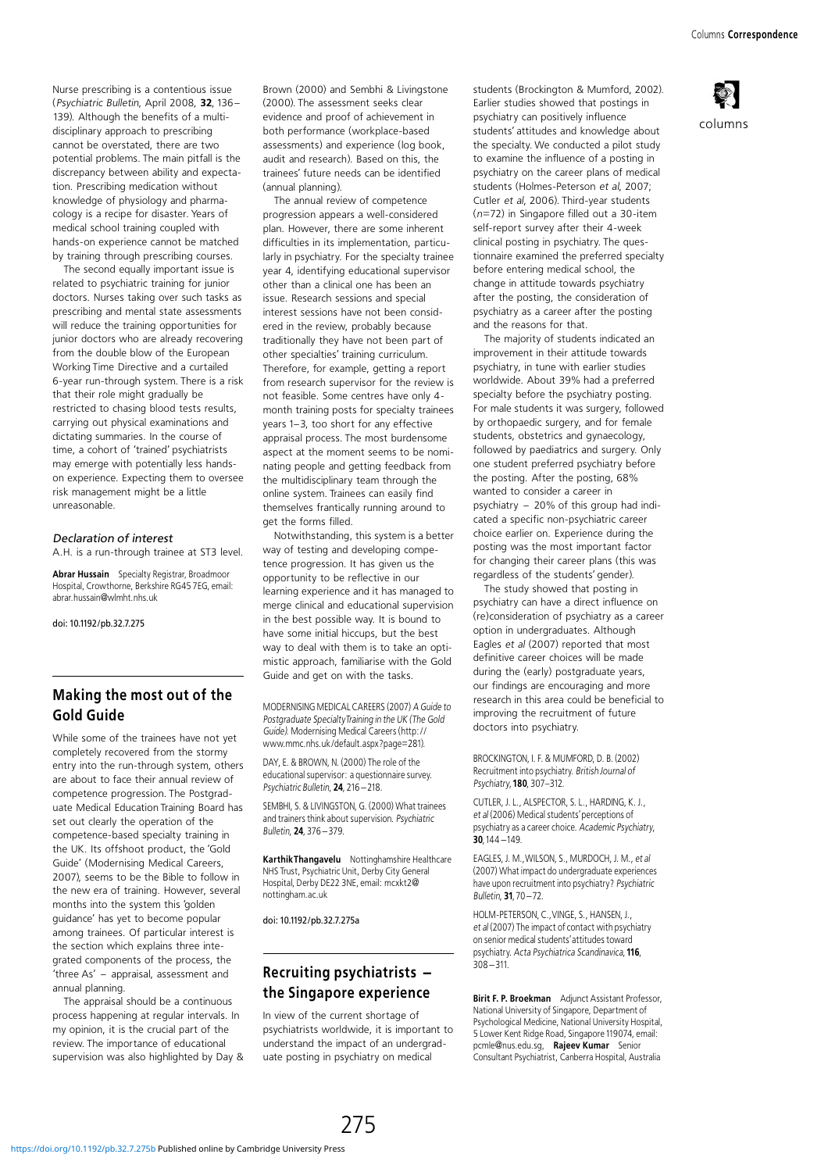columns

Nurse prescribing is a contentious issue (Psychiatric Bulletin, April 2008, <sup>32</sup>, 136- 139). Although the benefits of a multidisciplinary approach to prescribing cannot be overstated, there are two potential problems. The main pitfall is the discrepancy between ability and expectation. Prescribing medication without knowledge of physiology and pharmacology is a recipe for disaster. Years of medical school training coupled with hands-on experience cannot be matched by training through prescribing courses.

The second equally important issue is related to psychiatric training for junior doctors. Nurses taking over such tasks as prescribing and mental state assessments will reduce the training opportunities for junior doctors who are already recovering from the double blow of the European Working Time Directive and a curtailed 6-year run-through system. There is a risk that their role might gradually be restricted to chasing blood tests results, carrying out physical examinations and dictating summaries. In the course of time, a cohort of 'trained' psychiatrists may emerge with potentially less handson experience. Expecting them to oversee risk management might be a little unreasonable.

### Declaration of interest

A.H. is a run-through trainee at ST3 level.

Abrar Hussain Specialty Registrar, Broadmoor Hospital, Crowthorne, Berkshire RG45 7EG, email: abrar.hussain@wlmht.nhs.uk

doi: 10.1192/pb.32.7.275

# Making the most out of the Gold Guide

While some of the trainees have not yet completely recovered from the stormy entry into the run-through system, others are about to face their annual review of competence progression. The Postgraduate Medical Education Training Board has set out clearly the operation of the competence-based specialty training in the UK. Its offshoot product, the 'Gold Guide' (Modernising Medical Careers, 2007), seems to be the Bible to follow in the new era of training. However, several months into the system this 'golden' guidance' has yet to become popular among trainees. Of particular interest is the section which explains three integrated components of the process, the 'three As' - appraisal, assessment and annual planning.

The appraisal should be a continuous process happening at regular intervals. In my opinion, it is the crucial part of the review. The importance of educational supervision was also highlighted by Day & Brown (2000) and Sembhi & Livingstone (2000). The assessment seeks clear evidence and proof of achievement in both performance (workplace-based assessments) and experience (log book, audit and research). Based on this, the trainees' future needs can be identified (annual planning).

The annual review of competence progression appears a well-considered plan. However, there are some inherent difficulties in its implementation, particularly in psychiatry. For the specialty trainee year 4, identifying educational supervisor other than a clinical one has been an issue. Research sessions and special interest sessions have not been considered in the review, probably because traditionally they have not been part of other specialties' training curriculum. Therefore, for example, getting a report from research supervisor for the review is not feasible. Some centres have only 4 month training posts for specialty trainees years 1-3, too short for any effective appraisal process. The most burdensome aspect at the moment seems to be nominating people and getting feedback from the multidisciplinary team through the online system. Trainees can easily find themselves frantically running around to get the forms filled.

Notwithstanding, this system is a better way of testing and developing competence progression. It has given us the opportunity to be reflective in our learning experience and it has managed to merge clinical and educational supervision in the best possible way. It is bound to have some initial hiccups, but the best way to deal with them is to take an optimistic approach, familiarise with the Gold Guide and get on with the tasks.

MODERNISING MEDICAL CAREERS (2007) A Guide to Postgraduate SpecialtyTraining in the UK (The Gold Guide). Modernising Medical Careers (http:// www.mmc.nhs.uk/default.aspx?page=281).

DAY, E. & BROWN, N. (2000) The role of the educational supervisor: a questionnaire survey. Psychiatric Bulletin, 24, 216-218.

SEMBHI, S. & LIVINGSTON, G. (2000) What trainees and trainers think about supervision. Psychiatric Bulletin, <sup>24</sup>, 376-379.

KarthikThangavelu Nottinghamshire Healthcare NHS Trust, Psychiatric Unit, Derby City General Hospital, Derby DE22 3NE, email: mcxkt2@ nottingham.ac.uk

doi: 10.1192/pb.32.7.275a

## Recruiting psychiatrists the Singapore experience

In view of the current shortage of psychiatrists worldwide, it is important to understand the impact of an undergraduate posting in psychiatry on medical

students (Brockington & Mumford, 2002). Earlier studies showed that postings in psychiatry can positively influence students' attitudes and knowledge about the specialty. We conducted a pilot study to examine the influence of a posting in psychiatry on the career plans of medical students (Holmes-Peterson et al, 2007; Cutler et al, 2006). Third-year students (n=72) in Singapore filled out a 30-item self-report survey after their 4-week clinical posting in psychiatry. The questionnaire examined the preferred specialty before entering medical school, the change in attitude towards psychiatry after the posting, the consideration of psychiatry as a career after the posting and the reasons for that.

The majority of students indicated an improvement in their attitude towards psychiatry, in tune with earlier studies worldwide. About 39% had a preferred specialty before the psychiatry posting. For male students it was surgery, followed by orthopaedic surgery, and for female students, obstetrics and gynaecology, followed by paediatrics and surgery. Only one student preferred psychiatry before the posting. After the posting, 68% wanted to consider a career in psychiatry  $-20\%$  of this group had indicated a specific non-psychiatric career choice earlier on. Experience during the posting was the most important factor for changing their career plans (this was regardless of the students' gender).

The study showed that posting in psychiatry can have a direct influence on (re)consideration of psychiatry as a career option in undergraduates. Although Eagles et al (2007) reported that most definitive career choices will be made during the (early) postgraduate years, our findings are encouraging and more research in this area could be beneficial to improving the recruitment of future doctors into psychiatry.

BROCKINGTON, I. F. & MUMFORD, D. B. (2002) Recruitment into psychiatry. British Journal of Psychiatry, 180, 307-312.

CUTLER, J. L., ALSPECTOR, S. L., HARDING, K. J., et al (2006) Medical students'perceptions of psychiatry as a career choice. Academic Psychiatry, <sup>30</sup>,144-149.

EAGLES, J. M.,WILSON, S., MURDOCH, J. M., et al (2007) What impact do undergraduate experiences have upon recruitment into psychiatry? Psychiatric Bulletin, <sup>31</sup>, 70-72.

HOLM-PETERSON, C.,VINGE, S., HANSEN, J., et al (2007) The impact of contact with psychiatry on senior medical students'attitudes toward psychiatry. Acta Psychiatrica Scandinavica, 116, 308-311.

Birit F. P. Broekman Adjunct Assistant Professor, National University of Singapore, Department of Psychological Medicine, National University Hospital, 5 Lower Kent Ridge Road, Singapore 119074, email: pcmle@nus.edu.sg, Rajeev Kumar Senior Consultant Psychiatrist, Canberra Hospital, Australia